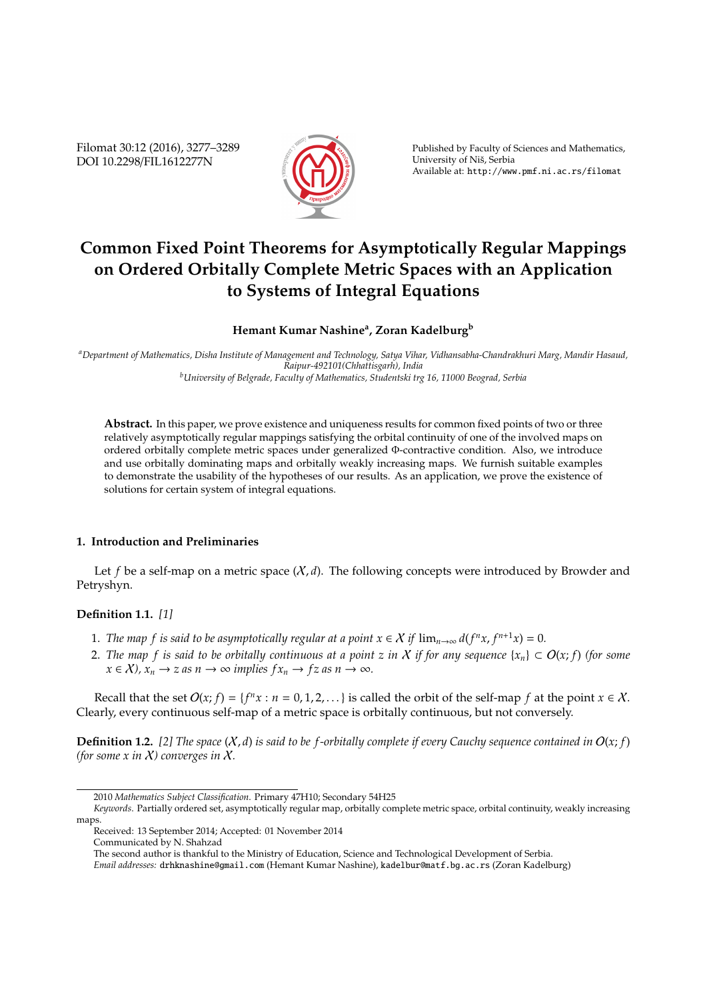Filomat 30:12 (2016), 3277–3289 DOI 10.2298/FIL1612277N



Published by Faculty of Sciences and Mathematics, University of Niš, Serbia Available at: http://www.pmf.ni.ac.rs/filomat

# **Common Fixed Point Theorems for Asymptotically Regular Mappings on Ordered Orbitally Complete Metric Spaces with an Application to Systems of Integral Equations**

# **Hemant Kumar Nashine<sup>a</sup> , Zoran Kadelburg<sup>b</sup>**

*<sup>a</sup>Department of Mathematics, Disha Institute of Management and Technology, Satya Vihar, Vidhansabha-Chandrakhuri Marg, Mandir Hasaud, Raipur-492101(Chhattisgarh), India <sup>b</sup>University of Belgrade, Faculty of Mathematics, Studentski trg 16, 11000 Beograd, Serbia*

**Abstract.** In this paper, we prove existence and uniqueness results for common fixed points of two or three relatively asymptotically regular mappings satisfying the orbital continuity of one of the involved maps on ordered orbitally complete metric spaces under generalized Φ-contractive condition. Also, we introduce and use orbitally dominating maps and orbitally weakly increasing maps. We furnish suitable examples to demonstrate the usability of the hypotheses of our results. As an application, we prove the existence of solutions for certain system of integral equations.

## **1. Introduction and Preliminaries**

Let f be a self-map on a metric space  $(X, d)$ . The following concepts were introduced by Browder and Petryshyn.

## **Definition 1.1.** *[1]*

- 1. *The map f is said to be asymptotically regular at a point*  $x \in X$  *if*  $\lim_{n\to\infty} d(f^n x, f^{n+1} x) = 0$ *.*
- 2. The map f is said to be orbitally continuous at a point z in X if for any sequence  $\{x_n\} \subset O(x; f)$  (for some  $x \in \mathcal{X}$ ,  $x_n \to z$  *as*  $n \to \infty$  *implies*  $f x_n \to f z$  *as*  $n \to \infty$ *.*

Recall that the set  $O(x; f) = \{f^n x : n = 0, 1, 2, ...\}$  is called the orbit of the self-map *f* at the point  $x \in X$ . Clearly, every continuous self-map of a metric space is orbitally continuous, but not conversely.

**Definition 1.2.** [2] The space  $(X, d)$  is said to be f-orbitally complete if every Cauchy sequence contained in  $O(x; f)$ *(for some x in* X*) converges in* X*.*

The second author is thankful to the Ministry of Education, Science and Technological Development of Serbia.

<sup>2010</sup> *Mathematics Subject Classification*. Primary 47H10; Secondary 54H25

*Keywords*. Partially ordered set, asymptotically regular map, orbitally complete metric space, orbital continuity, weakly increasing maps.

Received: 13 September 2014; Accepted: 01 November 2014

Communicated by N. Shahzad

*Email addresses:* drhknashine@gmail.com (Hemant Kumar Nashine), kadelbur@matf.bg.ac.rs (Zoran Kadelburg)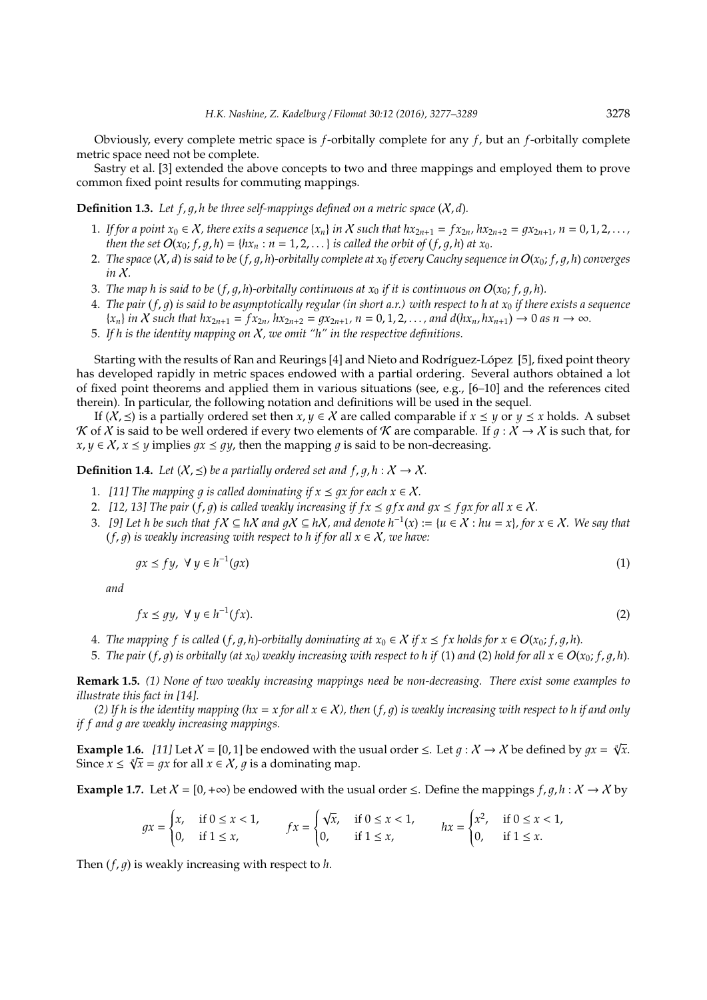Obviously, every complete metric space is *f*-orbitally complete for any *f*, but an *f*-orbitally complete metric space need not be complete.

Sastry et al. [3] extended the above concepts to two and three mappings and employed them to prove common fixed point results for commuting mappings.

**Definition 1.3.** Let  $f$ ,  $g$ ,  $h$  be three self-mappings defined on a metric space  $(X, d)$ .

- 1. If for a point  $x_0 \in X$ , there exits a sequence  $\{x_n\}$  in X such that  $hx_{2n+1} = fx_{2n}$ ,  $hx_{2n+2} = qx_{2n+1}$ ,  $n = 0, 1, 2, \ldots$ , *then the set*  $O(x_0; f, g, h) = \{hx_n : n = 1, 2, ...\}$  *is called the orbit of*  $(f, g, h)$  *at x*<sub>0</sub>.
- 2. The space  $(X, d)$  is said to be  $(f, q, h)$ -orbitally complete at  $x_0$  if every Cauchy sequence in  $O(x_0; f, q, h)$  converges *in* X*.*
- 3. *The map h is said to be (f, q, h)-orbitally continuous at*  $x_0$  *if it is continuous on*  $O(x_0; f, q, h)$ .
- 4. *The pair* (*f*, 1) *is said to be asymptotically regular (in short a.r.) with respect to h at x*<sup>0</sup> *if there exists a sequence*  $\{x_n\}$  in X such that  $hx_{2n+1} = fx_{2n}, hx_{2n+2} = qx_{2n+1}, n = 0, 1, 2, ...,$  and  $d(hx_n, hx_{n+1}) \to 0$  as  $n \to \infty$ .
- 5. *If h is the identity mapping on* X*, we omit "h" in the respective definitions.*

Starting with the results of Ran and Reurings [4] and Nieto and Rodríguez-López [5], fixed point theory has developed rapidly in metric spaces endowed with a partial ordering. Several authors obtained a lot of fixed point theorems and applied them in various situations (see, e.g.,  $[6-10]$  and the references cited therein). In particular, the following notation and definitions will be used in the sequel.

If  $(X,\leq)$  is a partially ordered set then  $x, y \in X$  are called comparable if  $x \leq y$  or  $y \leq x$  holds. A subset K of X is said to be well ordered if every two elements of K are comparable. If  $g : X \to X$  is such that, for *x*, *y* ∈ *X*, *x* ≤ *y* implies *gx* ≤ *gy*, then the mapping *g* is said to be non-decreasing.

**Definition 1.4.** *Let*  $(X, \leq)$  *be a partially ordered set and*  $f, g, h: X \to X$ *.* 

- 1. *[11] The mapping q is called dominating if*  $x \leq qx$  *for each*  $x \in \mathcal{X}$ *.*
- 2. *[12, 13] The pair*  $(f, g)$  *is called weakly increasing if*  $f x \leq g f x$  *and*  $gx \leq f gx$  *for all*  $x \in X$ *.*
- 3. *[9]* Let *h* be such that  $fX ⊆ hX$  and  $gX ⊆ hX$ , and denote  $h^{-1}(x) := {u ∈ X : hu = x}$ , for  $x ∈ X$ . We say that  $(f, q)$  *is weakly increasing with respect to h if for all*  $x \in X$ *, we have:*

$$
gx \le fy, \ \forall \ y \in h^{-1}(gx) \tag{1}
$$

*and*

$$
fx \le gy, \ \forall \ y \in h^{-1}(fx). \tag{2}
$$

- 4. *The mapping f* is called (*f*, *g*, *h*)-orbitally dominating at  $x_0 \in X$  if  $x \leq f x$  holds for  $x \in O(x_0; f, g, h)$ .
- 5. *The pair* (*f*, *q*) is orbitally (at  $x_0$ ) weakly increasing with respect to h if (1) and (2) hold for all  $x \in O(x_0; f, g, h)$ .

**Remark 1.5.** *(1) None of two weakly increasing mappings need be non-decreasing. There exist some examples to illustrate this fact in [14].*

*(2)* If h is the identity mapping ( $hx = x$  for all  $x \in X$ ), then  $(f, q)$  is weakly increasing with respect to h if and only *if f and q are weakly increasing mappings.* 

**Example 1.6.** *[11]* Let  $X = [0, 1]$  be endowed with the usual order  $\leq$ . Let  $g: X \to X$  be defined by  $gx = \sqrt[n]{x}$ . Since  $x \leq \sqrt[n]{x} = gx$  for all  $x \in \mathcal{X}$ ,  $g$  is a dominating map.

**Example 1.7.** Let  $X = [0, +\infty)$  be endowed with the usual order  $\leq$ . Define the mappings  $f, g, h : X \to X$  by

$$
gx = \begin{cases} x, & \text{if } 0 \le x < 1, \\ 0, & \text{if } 1 \le x, \end{cases} \qquad fx = \begin{cases} \sqrt{x}, & \text{if } 0 \le x < 1, \\ 0, & \text{if } 1 \le x, \end{cases} \qquad hx = \begin{cases} x^2, & \text{if } 0 \le x < 1, \\ 0, & \text{if } 1 \le x. \end{cases}
$$

Then  $(f, q)$  is weakly increasing with respect to *h*.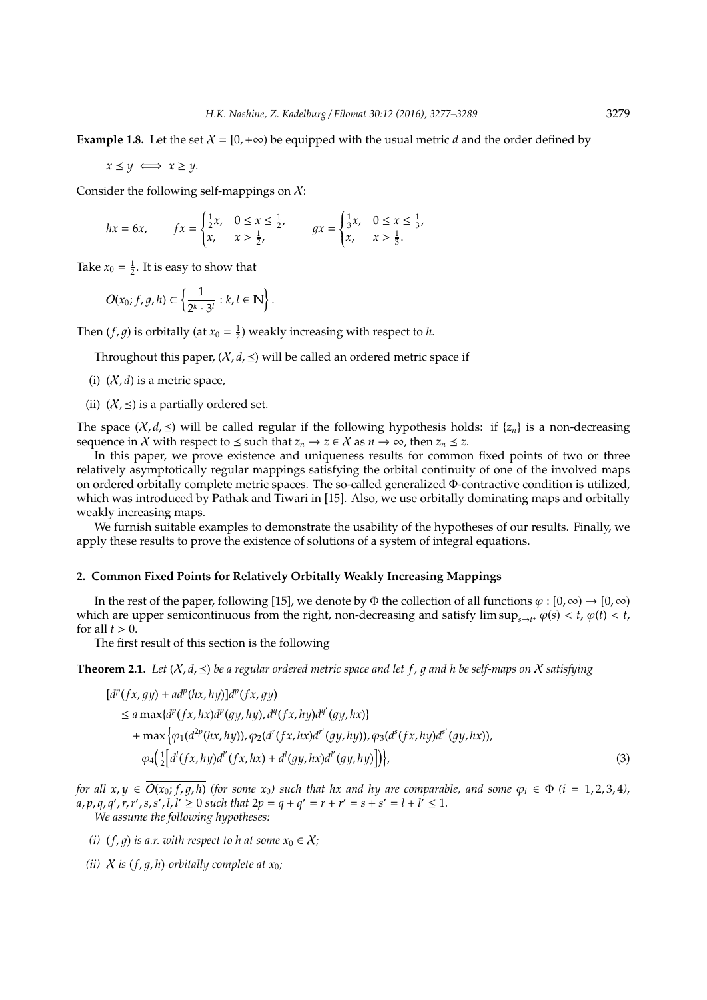**Example 1.8.** Let the set  $X = [0, +\infty)$  be equipped with the usual metric *d* and the order defined by

 $x \leq y \iff x \geq y$ .

Consider the following self-mappings on  $X$ :

$$
hx = 6x
$$
,  $fx = \begin{cases} \frac{1}{2}x, & 0 \le x \le \frac{1}{2}, \\ x, & x > \frac{1}{2}, \end{cases}$   $gx = \begin{cases} \frac{1}{3}x, & 0 \le x \le \frac{1}{3}, \\ x, & x > \frac{1}{3}. \end{cases}$ 

Take  $x_0 = \frac{1}{2}$ . It is easy to show that

$$
O(x_0; f, g, h) \subset \left\{ \frac{1}{2^k \cdot 3^l} : k, l \in \mathbb{N} \right\}.
$$

Then  $(f, g)$  is orbitally (at  $x_0 = \frac{1}{2}$ ) weakly increasing with respect to *h*.

Throughout this paper,  $(X, d, \leq)$  will be called an ordered metric space if

- (i)  $(X, d)$  is a metric space,
- (ii)  $(X,\leq)$  is a partially ordered set.

The space  $(X, d, \leq)$  will be called regular if the following hypothesis holds: if  $\{z_n\}$  is a non-decreasing sequence in X with respect to  $\leq$  such that  $z_n \to z \in X$  as  $n \to \infty$ , then  $z_n \leq z$ .

In this paper, we prove existence and uniqueness results for common fixed points of two or three relatively asymptotically regular mappings satisfying the orbital continuity of one of the involved maps on ordered orbitally complete metric spaces. The so-called generalized Φ-contractive condition is utilized, which was introduced by Pathak and Tiwari in [15]. Also, we use orbitally dominating maps and orbitally weakly increasing maps.

We furnish suitable examples to demonstrate the usability of the hypotheses of our results. Finally, we apply these results to prove the existence of solutions of a system of integral equations.

#### **2. Common Fixed Points for Relatively Orbitally Weakly Increasing Mappings**

In the rest of the paper, following [15], we denote by Φ the collection of all functions  $\varphi : [0, \infty) \to [0, \infty)$ which are upper semicontinuous from the right, non-decreasing and satisfy  $\limsup_{s\to t^+} \varphi(s) < t$ ,  $\varphi(t) < t$ , for all  $t > 0$ .

The first result of this section is the following

**Theorem 2.1.** Let  $(X, d, \leq)$  be a regular ordered metric space and let f, q and h be self-maps on X satisfying

$$
[d^{p}(fx, gy) + ad^{p}(hx, hy)]d^{p}(fx, gy)
$$
  
\n
$$
\le a \max\{d^{p}(fx, hx)d^{p}(gy, hy), d^{q}(fx, hy)d^{q'}(gy, hx)\}
$$
  
\n
$$
+ \max\{\varphi_{1}(d^{2p}(hx, hy)), \varphi_{2}(d^{r}(fx, hx)d^{r'}(gy, hy)), \varphi_{3}(d^{s}(fx, hy)d^{s'}(gy, hx)),
$$
  
\n
$$
\varphi_{4}(\frac{1}{2}[d^{l}(fx, hy)d^{l'}(fx, hx) + d^{l}(gy, hx)d^{l'}(gy, hy)]\}),
$$
\n(3)

*for all x*,  $y \in \overline{O(x_0; f, g, h)}$  *(for some x<sub>0</sub>) such that hx and hy are comparable, and some*  $\varphi_i \in \Phi$  *(i* = 1, 2, 3, 4),  $(a, p, q, q', r, r', s, s', l, l' \ge 0$  such that  $2p = q + q' = r + r' = s + s' = l + l' \le 1$ . *We assume the following hypotheses:*

*(i)* (*f, q*) *is a.r. with respect to h at some*  $x_0 \in \mathcal{X}$ *;*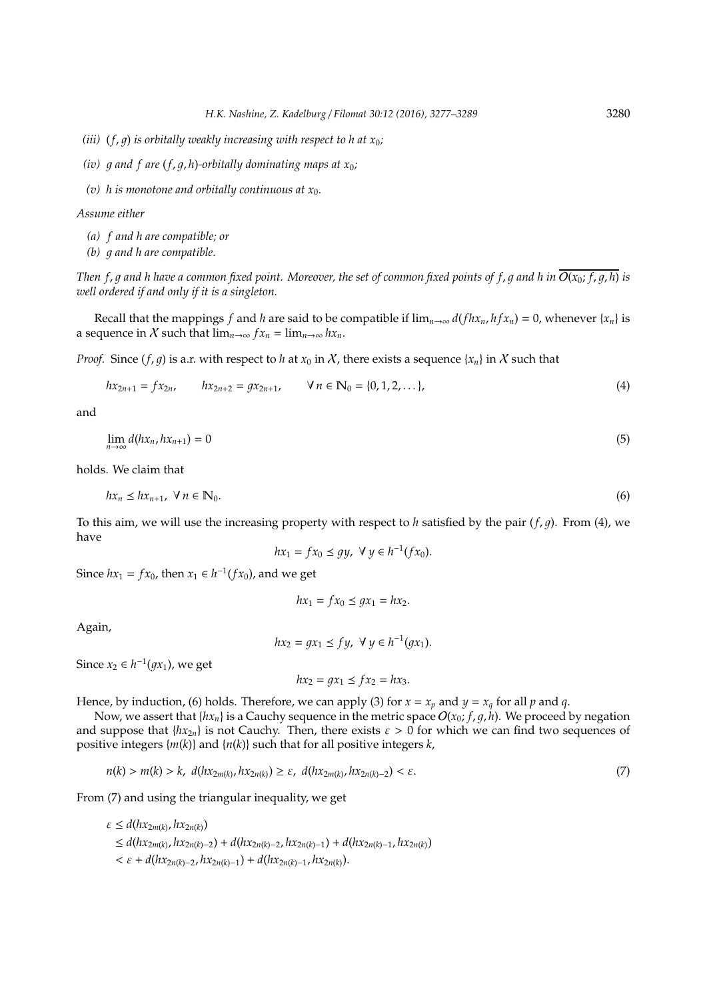- *(iii)*  $(f, q)$  *is orbitally weakly increasing with respect to h at*  $x_0$ *;*
- *(iv)*  $\alpha$  *and*  $f$  *are*  $(f, q, h)$ *-orbitally dominating maps at*  $x_0$ *;*
- (*v*) h is monotone and orbitally continuous at  $x_0$ .

*Assume either*

- *(a) f and h are compatible; or*
- *(b) q* and *h* are compatible.

*Then f, g and h have a common fixed point. Moreover, the set of common fixed points of f, g and h in*  $\overline{O(x_0; f, q, h)}$  *is well ordered if and only if it is a singleton.*

Recall that the mappings *f* and *h* are said to be compatible if  $\lim_{n\to\infty} d(fhx_n,hfx_n) = 0$ , whenever  $\{x_n\}$  is a sequence in X such that  $\lim_{n\to\infty} f x_n = \lim_{n\to\infty} h x_n$ .

*Proof.* Since  $(f, g)$  is a.r. with respect to *h* at  $x_0$  in X, there exists a sequence  $\{x_n\}$  in X such that

$$
hx_{2n+1} = fx_{2n}, \qquad hx_{2n+2} = gx_{2n+1}, \qquad \forall n \in \mathbb{N}_0 = \{0, 1, 2, \ldots\},
$$
 (4)

and

$$
\lim_{n \to \infty} d(hx_n, hx_{n+1}) = 0 \tag{5}
$$

holds. We claim that

$$
hx_n \le hx_{n+1}, \ \forall \, n \in \mathbb{N}_0. \tag{6}
$$

To this aim, we will use the increasing property with respect to *h* satisfied by the pair  $(f, g)$ . From (4), we have

$$
hx_1 = fx_0 \le gy, \ \forall \ y \in h^{-1}(fx_0).
$$

Since  $hx_1 = fx_0$ , then  $x_1 \in h^{-1}(fx_0)$ , and we get

$$
hx_1 = fx_0 \le gx_1 = hx_2.
$$

Again,

$$
hx_2 = gx_1 \le fy, \ \forall \ y \in h^{-1}(gx_1).
$$

Since  $x_2 \in h^{-1}(gx_1)$ , we get

$$
hx_2 = gx_1 \leq fx_2 = hx_3.
$$

Hence, by induction, (6) holds. Therefore, we can apply (3) for  $x = x_p$  and  $y = x_q$  for all p and q.

Now, we assert that  $\{hx_n\}$  is a Cauchy sequence in the metric space  $O(x_0; f, g, h)$ . We proceed by negation and suppose that  $\{hx_{2n}\}$  is not Cauchy. Then, there exists  $\varepsilon > 0$  for which we can find two sequences of positive integers {*m*(*k*)} and {*n*(*k*)} such that for all positive integers *k*,

$$
n(k) > m(k) > k, \ d(hx_{2m(k)}, hx_{2n(k)}) \ge \varepsilon, \ d(hx_{2m(k)}, hx_{2n(k)-2}) < \varepsilon.
$$
 (7)

From (7) and using the triangular inequality, we get

 $\varepsilon \leq d(hx_{2m(k)}, hx_{2n(k)})$ ≤ *d*(*hx*2*m*(*k*) , *hx*2*n*(*k*)−2) + *d*(*hx*2*n*(*k*)−2, *hx*2*n*(*k*)−1) + *d*(*hx*2*n*(*k*)−1, *hx*2*n*(*k*))  $<\varepsilon + d(hx_{2n(k)-2}, hx_{2n(k)-1}) + d(hx_{2n(k)-1}, hx_{2n(k)}).$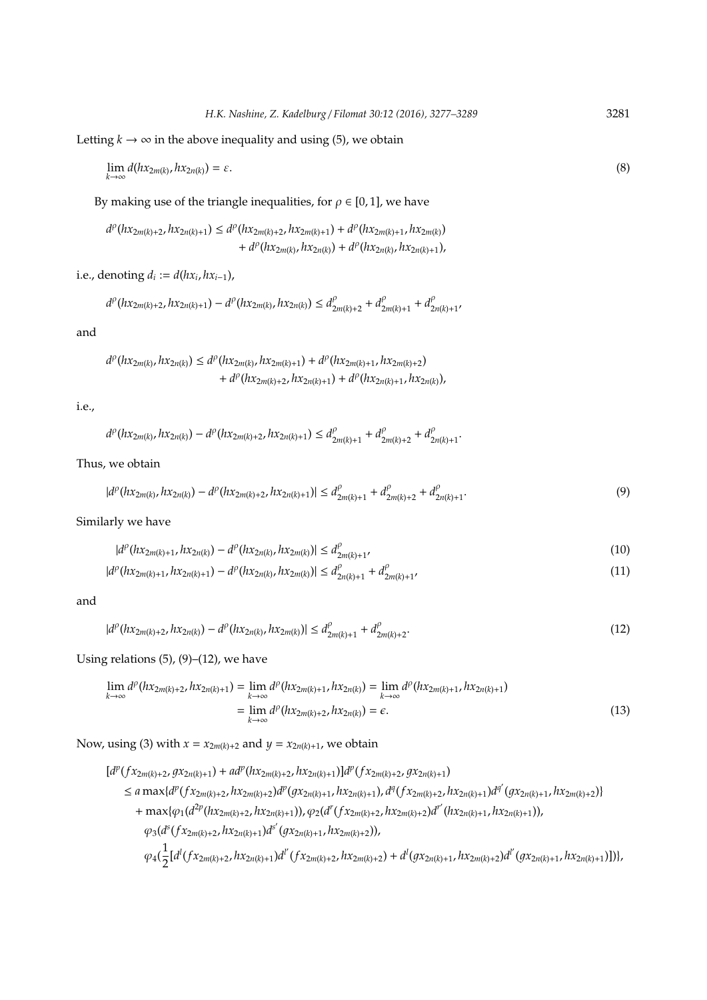Letting  $k \to \infty$  in the above inequality and using (5), we obtain

$$
\lim_{k \to \infty} d(hx_{2m(k)}, hx_{2n(k)}) = \varepsilon. \tag{8}
$$

By making use of the triangle inequalities, for  $\rho \in [0, 1]$ , we have

$$
\begin{aligned} d^{\rho}(hx_{2m(k)+2},hx_{2n(k)+1}) &\leq d^{\rho}(hx_{2m(k)+2},hx_{2m(k)+1}) + d^{\rho}(hx_{2m(k)+1},hx_{2m(k)}) \\&+ d^{\rho}(hx_{2m(k)},hx_{2n(k)}) + d^{\rho}(hx_{2n(k)},hx_{2n(k)+1}), \end{aligned}
$$

i.e., denoting  $d_i := d(hx_i, hx_{i-1})$ ,

$$
d^\rho(hx_{2m(k)+2},hx_{2n(k)+1})-d^\rho(hx_{2m(k)},hx_{2n(k)})\leq d^\rho_{2m(k)+2}+d^\rho_{2m(k)+1}+d^\rho_{2n(k)+1},
$$

and

$$
d^{\rho}(hx_{2m(k)},hx_{2n(k)}) \leq d^{\rho}(hx_{2m(k)},hx_{2m(k)+1}) + d^{\rho}(hx_{2m(k)+1},hx_{2m(k)+2}) + d^{\rho}(hx_{2m(k)+2},hx_{2n(k)+1}) + d^{\rho}(hx_{2n(k)+1},hx_{2n(k)}),
$$

i.e.,

$$
d^{\rho}\big(hx_{2m(k)},hx_{2n(k)}\big)-d^{\rho}\big(hx_{2m(k)+2},hx_{2n(k)+1}\big)\leq d^{\rho}_{2m(k)+1}+d^{\rho}_{2m(k)+2}+d^{\rho}_{2n(k)+1}.
$$

Thus, we obtain

$$
|d^{\rho}(hx_{2m(k)},hx_{2n(k)}) - d^{\rho}(hx_{2m(k)+2},hx_{2n(k)+1})| \leq d^{\rho}_{2m(k)+1} + d^{\rho}_{2m(k)+2} + d^{\rho}_{2n(k)+1}.
$$
\n(9)

Similarly we have

$$
|d^{\rho}(hx_{2m(k)+1}, hx_{2n(k)}) - d^{\rho}(hx_{2n(k)}, hx_{2m(k)})| \leq d^{\rho}_{2m(k)+1'}
$$
\n(10)

$$
|d^{\rho}(hx_{2m(k)+1}, hx_{2n(k)+1}) - d^{\rho}(hx_{2n(k)}, hx_{2m(k)})| \leq d^{\rho}_{2n(k)+1} + d^{\rho}_{2m(k)+1'}
$$
\n(11)

and

$$
|d^{\rho}(hx_{2m(k)+2}, hx_{2n(k)}) - d^{\rho}(hx_{2n(k)}, hx_{2m(k)})| \leq d^{\rho}_{2m(k)+1} + d^{\rho}_{2m(k)+2}.
$$
\n(12)

Using relations  $(5)$ ,  $(9)$ – $(12)$ , we have

$$
\lim_{k \to \infty} d^{\rho}(hx_{2m(k)+2}, hx_{2n(k)+1}) = \lim_{k \to \infty} d^{\rho}(hx_{2m(k)+1}, hx_{2n(k)}) = \lim_{k \to \infty} d^{\rho}(hx_{2m(k)+1}, hx_{2n(k)+1})
$$
\n
$$
= \lim_{k \to \infty} d^{\rho}(hx_{2m(k)+2}, hx_{2n(k)}) = \epsilon.
$$
\n(13)

Now, using (3) with  $x = x_{2m(k)+2}$  and  $y = x_{2n(k)+1}$ , we obtain

 $[d^{p}(fx_{2m(k)+2}, gx_{2n(k)+1}) + ad^{p}(hx_{2m(k)+2}, hx_{2n(k)+1})]d^{p}(fx_{2m(k)+2}, gx_{2n(k)+1})$  $\leq a \max\{d^p(fx_{2m(k)+2},hx_{2m(k)+2})d^p(gx_{2n(k)+1},hx_{2n(k)+1}),d^q(fx_{2m(k)+2},hx_{2n(k)+1})d^{q'}(gx_{2n(k)+1},hx_{2m(k)+2})\}$ + max{ $\varphi_1(d^{2p}(hx_{2m(k)+2},hx_{2n(k)+1})), \varphi_2(d^r(fx_{2m(k)+2},hx_{2m(k)+2})d^{r'}(hx_{2n(k)+1},hx_{2n(k)+1})),$  $\varphi_3(d^s(fx_{2m(k)+2}, hx_{2n(k)+1})d^{s'}(gx_{2n(k)+1}, hx_{2m(k)+2})),$  $\varphi_4(\frac{1}{2})$  $\frac{1}{2}[d^{l}(fx_{2m(k)+2},hx_{2n(k)+1})d^{l'}(fx_{2m(k)+2},hx_{2m(k)+2})+d^{l}(gx_{2n(k)+1},hx_{2m(k)+2})d^{l'}(gx_{2n(k)+1},hx_{2n(k)+1})])\},$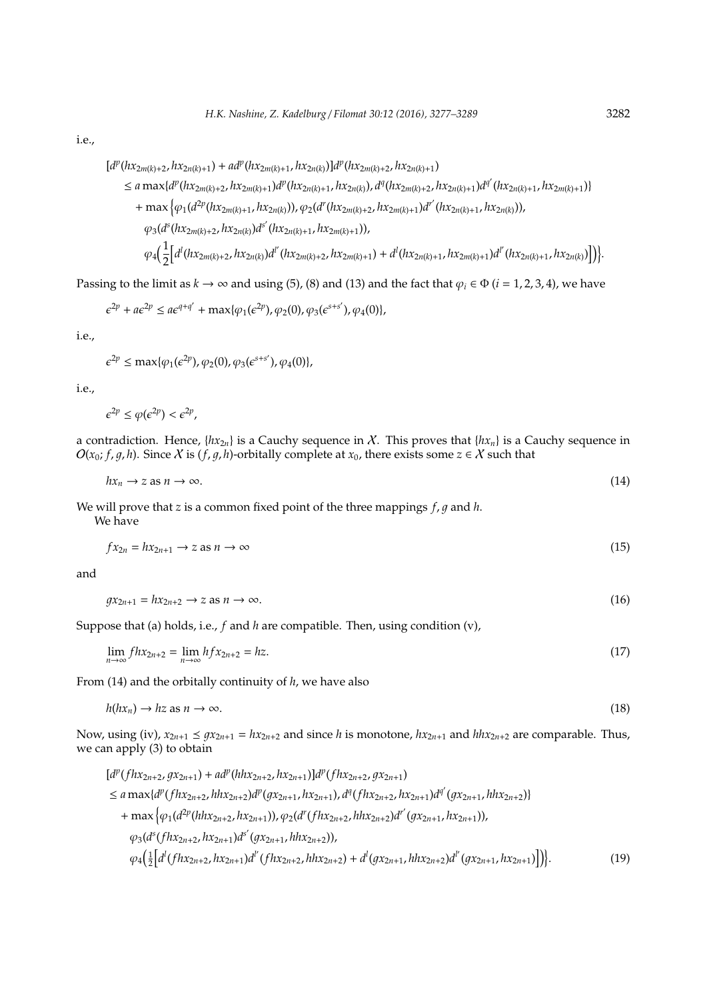i.e.,

 $\left[d^p(hx_{2m(k)+2},hx_{2n(k)+1})+ad^p(hx_{2m(k)+1},hx_{2n(k)})\right]d^p(hx_{2m(k)+2},hx_{2n(k)+1})$ 

- $\leq a \max\{d^p(hx_{2m(k)+2},hx_{2m(k)+1})d^p(hx_{2n(k)+1},hx_{2n(k)})$ ,  $d^q(hx_{2m(k)+2},hx_{2n(k)+1})d^{q'}(hx_{2n(k)+1},hx_{2m(k)+1})\}$
- + max  $\left\{\varphi_{1}(d^{2p}(hx_{2m(k)+1},hx_{2n(k)})),\varphi_{2}(d^{r}(hx_{2m(k)+2},hx_{2m(k)+1})d^{r'}(hx_{2n(k)+1},hx_{2n(k)})),\right\}$

 $\varphi_3(d^s(hx_{2m(k)+2}, hx_{2n(k)})d^{s'}(hx_{2n(k)+1}, hx_{2m(k)+1})),$ 

$$
\varphi_{4}\Big(\frac{1}{2}\Big[d^{l}(hx_{2m(k)+2},hx_{2n(k)})d^{l'}(hx_{2m(k)+2},hx_{2m(k)+1})+d^{l}(hx_{2n(k)+1},hx_{2m(k)+1})d^{l'}(hx_{2n(k)+1},hx_{2n(k)})\Big]\Big)\Big\}.
$$

Passing to the limit as  $k \to \infty$  and using (5), (8) and (13) and the fact that  $\varphi_i \in \Phi$  (*i* = 1, 2, 3, 4), we have

$$
\epsilon^{2p} + a\epsilon^{2p} \le a\epsilon^{q+q'} + \max\{\varphi_1(\epsilon^{2p}), \varphi_2(0), \varphi_3(\epsilon^{s+s'}), \varphi_4(0)\},\
$$

i.e.,

 $\epsilon^{2p} \le \max{\{\varphi_1(\epsilon^{2p}), \varphi_2(0), \varphi_3(\epsilon^{s+s'}), \varphi_4(0)\}},$ 

i.e.,

$$
\epsilon^{2p} \le \varphi(\epsilon^{2p}) < \epsilon^{2p},
$$

a contradiction. Hence,  $\{hx_{2n}\}$  is a Cauchy sequence in X. This proves that  $\{hx_n\}$  is a Cauchy sequence in  $O(x_0; f, g, h)$ . Since X is  $(f, g, h)$ -orbitally complete at  $x_0$ , there exists some  $z \in X$  such that

$$
hx_n \to z \text{ as } n \to \infty. \tag{14}
$$

We will prove that *z* is a common fixed point of the three mappings  $f$ ,  $g$  and  $h$ .

We have

$$
fx_{2n} = hx_{2n+1} \to z \text{ as } n \to \infty
$$
\n<sup>(15)</sup>

and

$$
gx_{2n+1} = hx_{2n+2} \to z \text{ as } n \to \infty. \tag{16}
$$

Suppose that (a) holds, i.e., *f* and *h* are compatible. Then, using condition (v),

$$
\lim_{n \to \infty} f h x_{2n+2} = \lim_{n \to \infty} h f x_{2n+2} = h z.
$$
\n(17)

From (14) and the orbitally continuity of *h*, we have also

$$
h(hx_n) \to hz \text{ as } n \to \infty. \tag{18}
$$

Now, using (iv),  $x_{2n+1} \leq qx_{2n+1} = hx_{2n+2}$  and since *h* is monotone,  $hx_{2n+1}$  and  $hhx_{2n+2}$  are comparable. Thus, we can apply (3) to obtain

$$
[d^{p}(fhx_{2n+2}, gx_{2n+1}) + ad^{p}(hhx_{2n+2}, hx_{2n+1})]d^{p}(fhx_{2n+2}, gx_{2n+1})
$$
  
\n
$$
\le a \max\{d^{p}(fhx_{2n+2}, hhx_{2n+2})d^{p}(gx_{2n+1}, hx_{2n+1}), d^{q}(fhx_{2n+2}, hx_{2n+1})d^{q'}(gx_{2n+1}, hhx_{2n+2})\}
$$
  
\n
$$
+ \max\{\varphi_{1}(d^{2p}(hhx_{2n+2}, hx_{2n+1})), \varphi_{2}(d^{r}(fhx_{2n+2}, hhx_{2n+2})d^{r'}(gx_{2n+1}, hx_{2n+1})),
$$
  
\n
$$
\varphi_{3}(d^{s}(fhx_{2n+2}, hx_{2n+1})d^{s'}(gx_{2n+1}, hhx_{2n+2}))
$$
  
\n
$$
\varphi_{4}(\frac{1}{2}[d^{l}(fhx_{2n+2}, hx_{2n+1})d^{l'}(fhx_{2n+2}, hhx_{2n+2}) + d^{l}(gx_{2n+1}, hhx_{2n+2})d^{l'}(gx_{2n+1}, hx_{2n+1})]\}.
$$
  
\n(19)

io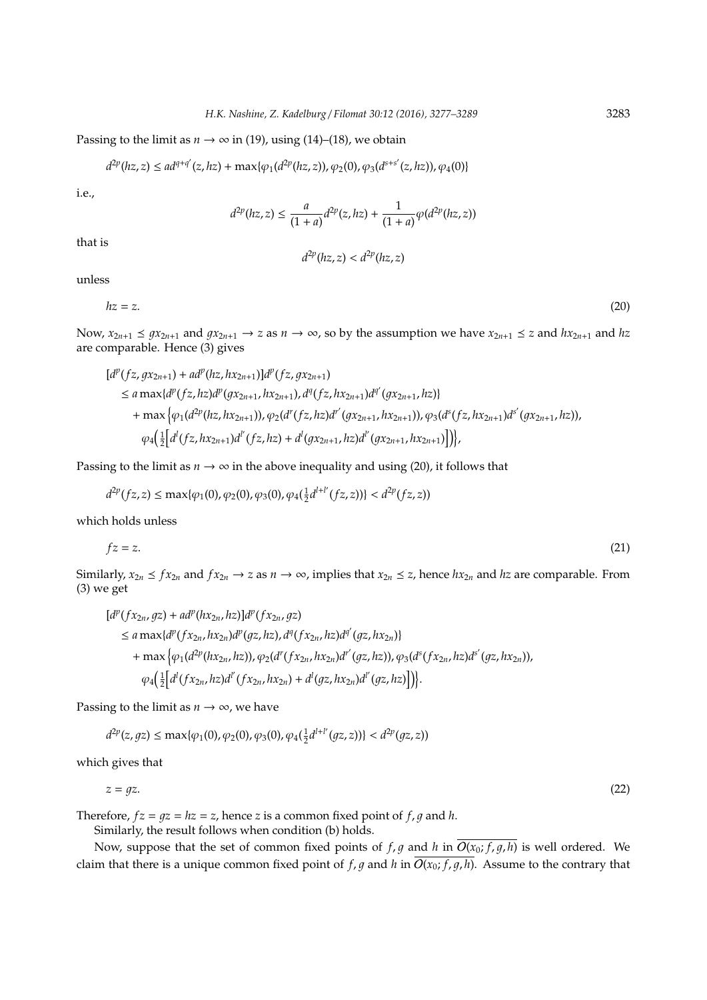Passing to the limit as  $n \to \infty$  in (19), using (14)–(18), we obtain

$$
d^{2p}(hz, z) \le ad^{q+q'}(z, hz) + \max\{\varphi_1(d^{2p}(hz, z)), \varphi_2(0), \varphi_3(d^{s+s'}(z, hz)), \varphi_4(0)\}\
$$

i.e.,

$$
d^{2p}(hz, z) \le \frac{a}{(1+a)} d^{2p}(z, hz) + \frac{1}{(1+a)} \varphi(d^{2p}(hz, z))
$$

 $d^{2p}(hz, z) < d^{2p}(hz, z)$ 

that is

$$
f_{\rm{max}}
$$

unless

$$
hz = z.\tag{20}
$$

Now,  $x_{2n+1} \leq qx_{2n+1}$  and  $qx_{2n+1} \to z$  as  $n \to \infty$ , so by the assumption we have  $x_{2n+1} \leq z$  and  $hx_{2n+1}$  and  $hx_{2n+1}$ are comparable. Hence (3) gives

$$
[d^{p}(fz, gx_{2n+1}) + ad^{p}(hz, hx_{2n+1})]d^{p}(fz, gx_{2n+1})
$$
  
\n
$$
\le a \max\{d^{p}(fz, hz)d^{p}(gx_{2n+1}, hx_{2n+1}), d^{q}(fz, hx_{2n+1})d^{q'}(gx_{2n+1}, hz)\}
$$
  
\n
$$
+ \max\{\varphi_{1}(d^{2p}(hz, hx_{2n+1})), \varphi_{2}(d^{r}(fz, hz)d^{r'}(gx_{2n+1}, hx_{2n+1})), \varphi_{3}(d^{3}(fz, hx_{2n+1})d^{s'}(gx_{2n+1}, hz)),
$$
  
\n
$$
\varphi_{4}(\frac{1}{2}[d^{l}(fz, hx_{2n+1})d^{l'}(fz, hz) + d^{l}(gx_{2n+1}, hz)d^{l'}(gx_{2n+1}, hx_{2n+1})]\}),
$$

Passing to the limit as  $n \to \infty$  in the above inequality and using (20), it follows that

$$
d^{2p}(fz,z)\leq \max\{\varphi_1(0),\varphi_2(0),\varphi_3(0),\varphi_4(\tfrac{1}{2}d^{l+l'}(fz,z))\}
$$

which holds unless

$$
fz = z.\tag{21}
$$

Similarly,  $x_{2n} \leq fx_{2n}$  and  $fx_{2n} \to z$  as  $n \to \infty$ , implies that  $x_{2n} \leq z$ , hence  $hx_{2n}$  and  $hz$  are comparable. From (3) we get

$$
[d^{p}(fx_{2n},gz) + ad^{p}(hx_{2n},hz)]d^{p}(fx_{2n},gz)
$$
  
\n
$$
\le a \max\{d^{p}(fx_{2n},hx_{2n})d^{p}(gz,hz), d^{q}(fx_{2n},hz)d^{q'}(gz,hx_{2n})\}
$$
  
\n
$$
+ \max\{\varphi_{1}(d^{2p}(hx_{2n},hz)), \varphi_{2}(d^{r}(fx_{2n},hx_{2n})d^{r'}(gz,hz)), \varphi_{3}(d^{s}(fx_{2n},hz)d^{s'}(gz,hx_{2n})),
$$
  
\n
$$
\varphi_{4}\left(\frac{1}{2}\left[d^{l}(fx_{2n},hz)d^{l'}(fx_{2n},hx_{2n}) + d^{l}(gz,hx_{2n})d^{l'}(gz,hz)\right]\right)\}.
$$

Passing to the limit as  $n \rightarrow \infty$ , we have

$$
d^{2p}(z,gz)\leq \max\{\varphi_1(0),\varphi_2(0),\varphi_3(0),\varphi_4(\tfrac{1}{2}d^{l+l'}(gz,z))\}
$$

which gives that

$$
z = gz.\tag{22}
$$

Therefore,  $fz = qz = hz = z$ , hence *z* is a common fixed point of  $f, q$  and  $h$ .

Similarly, the result follows when condition (b) holds.

Now, suppose that the set of common fixed points of  $f$ ,  $g$  and  $h$  in  $\overline{O(x_0; f, g, h)}$  is well ordered. We claim that there is a unique common fixed point of *f*, *g* and *h* in  $\overline{O(x_0; f, g, h)}$ . Assume to the contrary that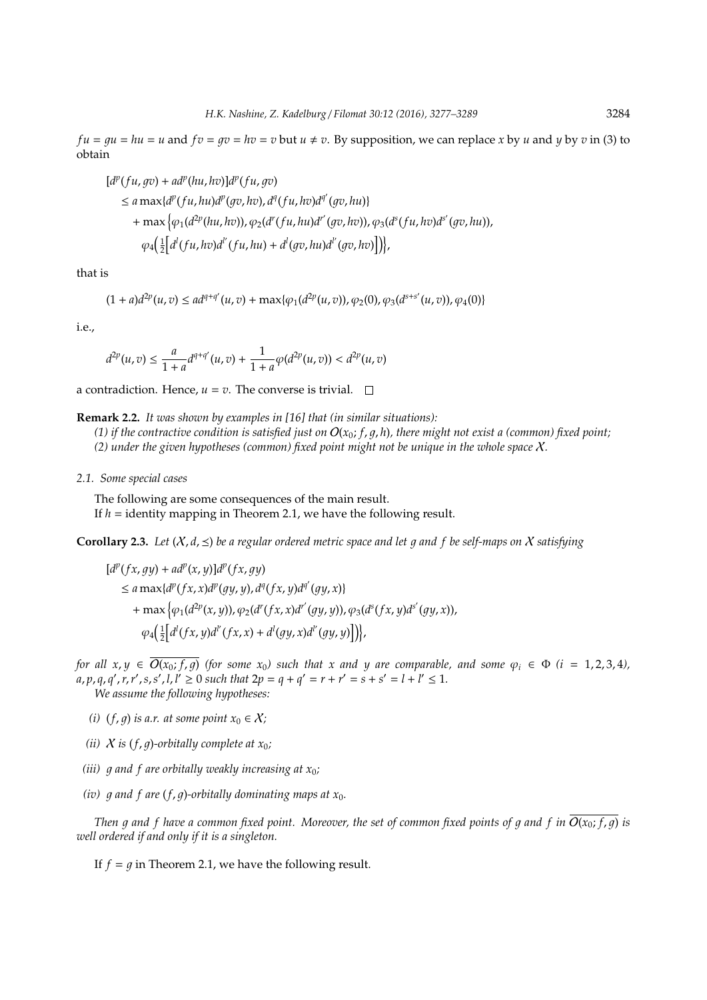*fu* =  $qu = hu = u$  and  $fv = qv = hv = v$  but  $u \neq v$ . By supposition, we can replace *x* by *u* and *y* by *v* in (3) to obtain

$$
[d^p(fu, gv) + ad^p(hu, hv)]d^p(fu, gv)
$$
  
\n
$$
\le a \max\{d^p(fu, hu)d^p(gv, hv), d^q(fu, hv)d^{q'}(gv, hu)\}
$$
  
\n
$$
+ \max\{\varphi_1(d^{2p}(hu, hv)), \varphi_2(d^r(fu, hu)d^{r'}(gv, hv)), \varphi_3(d^s(fu, hv)d^{s'}(gv, hu)),
$$
  
\n
$$
\varphi_4\left(\frac{1}{2}\left[d^l(fu, hv)d^{l'}(fu, hu) + d^l(gv, hu)d^{l'}(gv, hv)\right]\right)\},
$$

that is

$$
(1+a)d^{2p}(u,v) \le ad^{q+q'}(u,v) + \max\{\varphi_1(d^{2p}(u,v)), \varphi_2(0), \varphi_3(d^{s+s'}(u,v)), \varphi_4(0)\}\
$$

i.e.,

$$
d^{2p}(u,v) \leq \frac{a}{1+a}d^{q+q'}(u,v) + \frac{1}{1+a}\varphi(d^{2p}(u,v)) < d^{2p}(u,v)
$$

a contradiction. Hence,  $u = v$ . The converse is trivial.  $\square$ 

**Remark 2.2.** *It was shown by examples in [16] that (in similar situations):*

(1) if the contractive condition is satisfied just on  $O(x_0; f, g, h)$ , there might not exist a (common) fixed point; *(2) under the given hypotheses (common) fixed point might not be unique in the whole space* X*.*

*2.1. Some special cases*

The following are some consequences of the main result. If  $h =$  identity mapping in Theorem 2.1, we have the following result.

**Corollary 2.3.** Let  $(X, d, \leq)$  be a regular ordered metric space and let q and f be self-maps on X satisfying

$$
[d^{p}(fx, gy) + ad^{p}(x, y)]d^{p}(fx, gy)
$$
  
\n
$$
\le a \max\{d^{p}(fx, x)d^{p}(gy, y), d^{q}(fx, y)d^{q'}(gy, x)\}
$$
  
\n
$$
+ \max\{\varphi_{1}(d^{2p}(x, y)), \varphi_{2}(d^{r}(fx, x)d^{r'}(gy, y)), \varphi_{3}(d^{5}(fx, y)d^{5'}(gy, x)),
$$
  
\n
$$
\varphi_{4}(\frac{1}{2}[d^{l}(fx, y)d^{l'}(fx, x) + d^{l}(gy, x)d^{l'}(gy, y)]\}),
$$

*for all x, y*  $\in$   $\overline{O(x_0; f, g)}$  *(for some x<sub>0</sub>) such that x and y are comparable, and some*  $\varphi_i \in \Phi$  *(i = 1,2,3,4),*  $a, p, q, q', r, r', s, s', l, l' \ge 0$  such that  $2p = q + q' = r + r' = s + s' = l + l' \le 1$ . *We assume the following hypotheses:*

- *(i)*  $(f, q)$  *is a.r. at some point*  $x_0 \in \mathcal{X}$ *;*
- *(ii)*  $X$  *is*  $(f, g)$ *-orbitally complete at*  $x_0$ *;*
- *(iii)*  $q$  and  $f$  are orbitally weakly increasing at  $x_0$ ;
- *(iv)*  $q$  and  $f$  are  $(f, q)$ -orbitally dominating maps at  $x_0$ .

*Then* g and f have a common fixed point. Moreover, the set of common fixed points of g and f in  $\overline{O(x_0; f, g)}$  is *well ordered if and only if it is a singleton.*

If  $f = q$  in Theorem 2.1, we have the following result.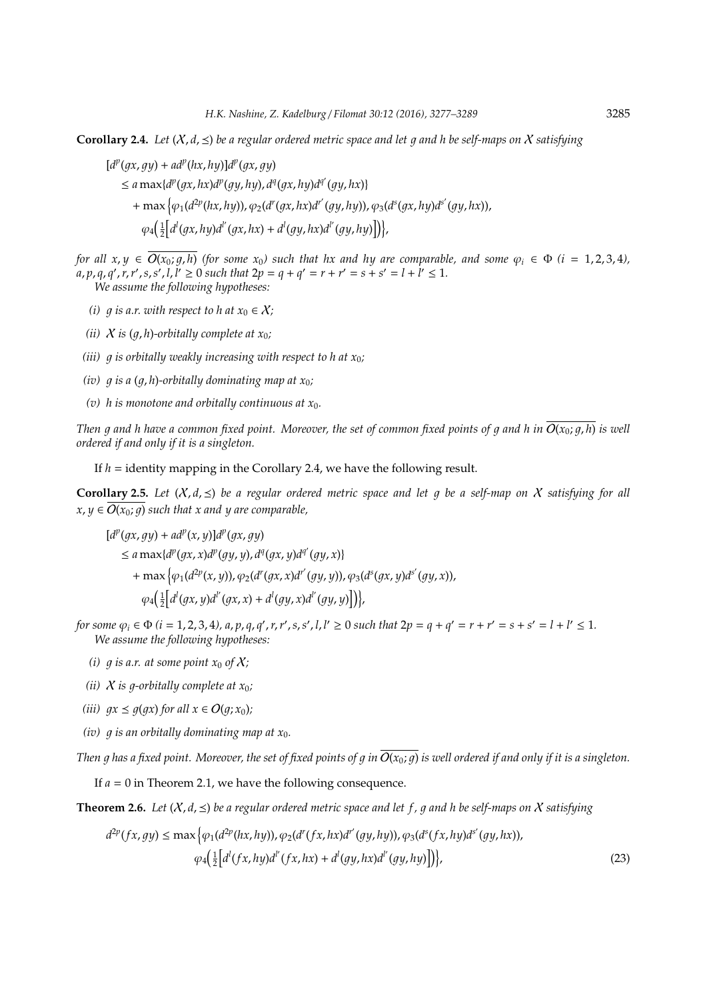**Corollary 2.4.** Let  $(X, d, \leq)$  be a regular ordered metric space and let q and h be self-maps on X satisfying

- $[d^p(gx, gy) + ad^p(hx, hy)]d^p(gx, gy)$ 
	- $\leq a \max\{d^p(gx,hx)d^p(gy,hy), d^q(gx,hy)d^{q'}(gy,hx)\}$

+ max  $\Big\{\varphi_{1}(d^{2p}(hx,hy)),\varphi_{2}(d^{r}(gx,hx)d^{r^{\prime}}(gy,hy)),\varphi_{3}(d^{s}(gx,hy)d^{s^{\prime}}(gy,hx)),$ 

 $\varphi_4\left(\frac{1}{2}\left[d^l(gx, hy)d^{l'}(gx, hx) + d^l(gy, hx)d^{l'}(gy, hy)\right]\right),$ 

*for all x, y*  $\in \overline{O(x_0; q, h)}$  *(for some x<sub>0</sub>) such that hx and hy are comparable, and some*  $\varphi_i \in \Phi$  *(i = 1, 2, 3, 4),*  $a, p, q, q', r, r', s, s', l, l' \ge 0$  such that  $2p = q + q' = r + r' = s + s' = l + l' \le 1$ . *We assume the following hypotheses:*

- *(i) q is a.r. with respect to h at*  $x_0 \in X$ *;*
- *(ii)*  $X$  *is*  $(q, h)$ -orbitally complete at  $x_0$ *;*
- *(iii)*  $q$  *is orbitally weakly increasing with respect to h at*  $x_0$ *;*
- *(iv) q is a (q, h)-orbitally dominating map at*  $x_0$ *;*
- (*v*) h is monotone and orbitally continuous at  $x_0$ .

*Then* q and h have a common fixed point. Moreover, the set of common fixed points of q and h in  $\overline{O(x_0; q, h)}$  is well *ordered if and only if it is a singleton.*

If *h* = identity mapping in the Corollary 2.4, we have the following result.

**Corollary 2.5.** Let  $(X, d, \leq)$  be a regular ordered metric space and let q be a self-map on X satisfying for all  $x, y \in \overline{O(x_0; q)}$  *such that x and y are comparable,* 

$$
[d^{p}(gx, gy) + ad^{p}(x, y)]d^{p}(gx, gy)
$$
  
\n
$$
\le a \max\{d^{p}(gx, x)d^{p}(gy, y), d^{q}(gx, y)d^{q'}(gy, x)\}
$$
  
\n
$$
+ \max\{\varphi_{1}(d^{2p}(x, y)), \varphi_{2}(d^{r}(gx, x)d^{r'}(gy, y)), \varphi_{3}(d^{s}(gx, y)d^{s'}(gy, x)),
$$
  
\n
$$
\varphi_{4}(\frac{1}{2}[d^{l}(gx, y)d^{l'}(gx, x) + d^{l}(gy, x)d^{l'}(gy, y)]\}),
$$

for some  $\varphi_i \in \Phi$  ( $i = 1, 2, 3, 4$ ),  $a, p, q, q', r, r', s, s', l, l' \ge 0$  such that  $2p = q + q' = r + r' = s + s' = l + l' \le 1$ . *We assume the following hypotheses:*

- *(i) q is a.r. at some point*  $x_0$  *of*  $X$ *;*
- *(ii)*  $X$  *is q-orbitally complete at*  $x_0$ *;*
- *(iii)*  $qx \leq q(qx)$  *for all*  $x \in O(q; x_0)$ *;*
- *(iv)*  $q$  *is an orbitally dominating map at*  $x_0$ *.*

*Then* q has a fixed point. Moreover, the set of fixed points of q in  $\overline{O(x_0; q)}$  is well ordered if and only if it is a singleton.

If *a* = 0 in Theorem 2.1, we have the following consequence.

**Theorem 2.6.** *Let*  $(X, d, \leq)$  *be a regular ordered metric space and let f, q and h be self-maps on* X *satisfying* 

$$
d^{2p}(fx, gy) \le \max\left\{\varphi_1(d^{2p}(hx, hy)), \varphi_2(d^r(fx, hx)d^{r'}(gy, hy)), \varphi_3(d^s(fx, hy)d^{s'}(gy, hx)), \varphi_4\left(\frac{1}{2}\left[d^l(fx, hy)d^{l'}(fx, hx) + d^l(gy, hx)d^{l'}(gy, hy)\right]\right)\right\},\tag{23}
$$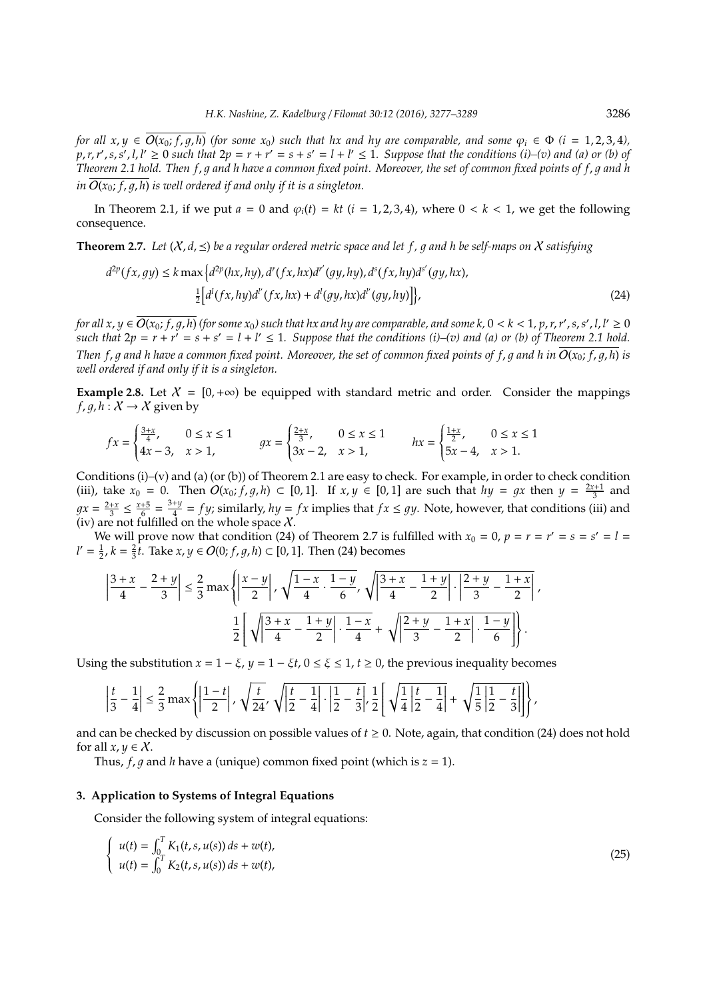*for all*  $x, y \in \overline{O(x_0; f, q, h)}$  *(for some*  $x_0$ *) such that hx and hy are comparable, and some*  $\varphi_i \in \Phi$  *(i* = 1, 2, 3, 4),  $p, r, r', s, s', l, l' \ge 0$  such that  $2p = r + r' = s + s' = l + l' \le 1$ . Suppose that the conditions (i)–(v) and (a) or (b) of *Theorem 2.1 hold. Then f, g and h have a common fixed point. Moreover, the set of common fixed points of f, g and h in*  $O(x_0; f, q, h)$  *is well ordered if and only if it is a singleton.* 

In Theorem 2.1, if we put  $a = 0$  and  $\varphi_i(t) = kt$  ( $i = 1, 2, 3, 4$ ), where  $0 \le k \le 1$ , we get the following consequence.

**Theorem 2.7.** *Let*  $(X, d, \leq)$  *be a regular ordered metric space and let* f, q and h *be self-maps on* X *satisfying* 

$$
d^{2p}(fx, gy) \le k \max \left\{ d^{2p}(hx, hy), d^{r}(fx, hx)d^{r'}(gy, hy), d^{s}(fx, hy)d^{s'}(gy, hx), \frac{1}{2} \left[ d^{l}(fx, hy)d^{l'}(fx, hx) + d^{l}(gy, hx)d^{l'}(gy, hy) \right] \right\},
$$
\n(24)

for all  $x,y\in \overline{O(x_0;f,g,h)}$  (for some  $x_0$ ) such that hx and hy are comparable, and some k,  $0< k< 1$ , p, r, r' , s, s' , l, l'  $\ge 0$ such that  $2p = r + r' = s + s' = l + l' \leq 1$ . Suppose that the conditions (i)–(v) and (a) or (b) of Theorem 2.1 hold. *Then f, q and h have a common fixed point. Moreover, the set of common fixed points of f, q and h in*  $O(x_0; f, q, h)$  *is well ordered if and only if it is a singleton.*

**Example 2.8.** Let  $X = [0, +\infty)$  be equipped with standard metric and order. Consider the mappings *f*, *g*, *h* :  $X \rightarrow X$  given by

$$
fx = \begin{cases} \frac{3+x}{4}, & 0 \le x \le 1 \\ 4x - 3, & x > 1, \end{cases} \qquad gx = \begin{cases} \frac{2+x}{3}, & 0 \le x \le 1 \\ 3x - 2, & x > 1, \end{cases} \qquad hx = \begin{cases} \frac{1+x}{2}, & 0 \le x \le 1 \\ 5x - 4, & x > 1. \end{cases}
$$

Conditions (i)–(v) and (a) (or (b)) of Theorem 2.1 are easy to check. For example, in order to check condition (iii), take  $x_0 = 0$ . Then  $O(x_0; f, g, h) \subset [0, 1]$ . If  $x, y \in [0, 1]$  are such that  $hy = gx$  then  $y = \frac{2x+1}{3}$  and  $gx = \frac{2+x}{3} \leq \frac{x+5}{6} = \frac{3+y}{4}$  $\frac{4}{4}$  = *f y*; similarly,  $hy = fx$  implies that  $fx \le gy$ . Note, however, that conditions (iii) and (iv) are not fulfilled on the whole space  $\chi$ .

We will prove now that condition (24) of Theorem 2.7 is fulfilled with  $x_0 = 0$ ,  $p = r = r' = s = s' = l$ *l'* =  $\frac{1}{2}$ , *k* =  $\frac{2}{3}$ *t*. Take *x*, *y* ∈ *O*(0; *f*, *g*, *h*) ⊂ [0, 1]. Then (24) becomes

$$
\left|\frac{3+x}{4} - \frac{2+y}{3}\right| \le \frac{2}{3} \max\left\{\left|\frac{x-y}{2}\right|, \sqrt{\frac{1-x}{4} \cdot \frac{1-y}{6}}, \sqrt{\left|\frac{3+x}{4} - \frac{1+y}{2}\right|} \cdot \left|\frac{2+y}{3} - \frac{1+x}{2}\right| \right\},\
$$

$$
\frac{1}{2} \left[\sqrt{\left|\frac{3+x}{4} - \frac{1+y}{2}\right|} \cdot \frac{1-x}{4} + \sqrt{\left|\frac{2+y}{3} - \frac{1+x}{2}\right|} \cdot \frac{1-y}{6}\right].
$$

Using the substitution  $x = 1 - \xi$ ,  $y = 1 - \xi t$ ,  $0 \le \xi \le 1$ ,  $t \ge 0$ , the previous inequality becomes

$$
\left|\frac{t}{3}-\frac{1}{4}\right| \leq \frac{2}{3} \max\left\{\left|\frac{1-t}{2}\right|, \sqrt{\frac{t}{24}}, \sqrt{\left|\frac{t}{2}-\frac{1}{4}\right|} \cdot \left|\frac{1}{2}-\frac{t}{3}\right|, \frac{1}{2} \left[\sqrt{\frac{1}{4} \left|\frac{t}{2}-\frac{1}{4}\right|} + \sqrt{\frac{1}{5} \left|\frac{1}{2}-\frac{t}{3}\right|} \right] \right\},\right.
$$

and can be checked by discussion on possible values of *t* ≥ 0. Note, again, that condition (24) does not hold for all  $x, y \in \mathcal{X}$ .

Thus,  $f$ ,  $q$  and  $h$  have a (unique) common fixed point (which is  $z = 1$ ).

#### **3. Application to Systems of Integral Equations**

Consider the following system of integral equations:

$$
\begin{cases}\n u(t) = \int_0^T K_1(t, s, u(s)) ds + w(t), \\
 u(t) = \int_0^T K_2(t, s, u(s)) ds + w(t),\n\end{cases}
$$
\n(25)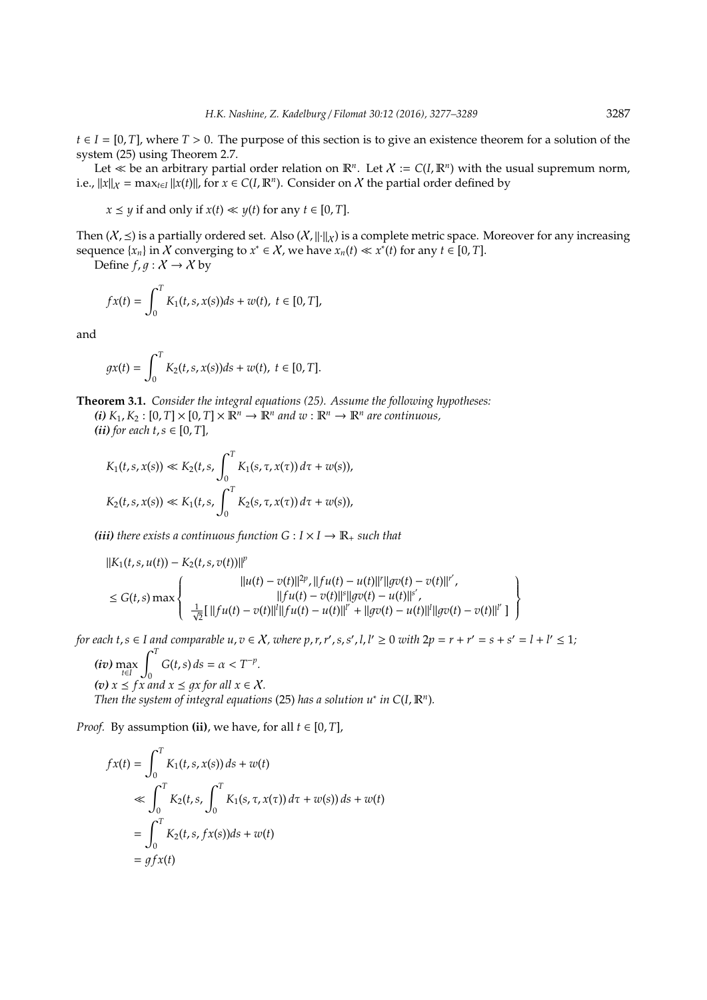$t \in I = [0, T]$ , where  $T > 0$ . The purpose of this section is to give an existence theorem for a solution of the system (25) using Theorem 2.7.

Let  $\ll$  be an arbitrary partial order relation on  $\mathbb{R}^n$ . Let  $X := C(I, \mathbb{R}^n)$  with the usual supremum norm, i.e.,  $||x||_X = \max_{t \in I} ||x(t)||$ , for  $x \in C(I, \mathbb{R}^n)$ . Consider on X the partial order defined by

$$
x \leq y
$$
 if and only if  $x(t) \ll y(t)$  for any  $t \in [0, T]$ .

Then  $(X,\preceq)$  is a partially ordered set. Also  $(X,\|\cdot\|_X)$  is a complete metric space. Moreover for any increasing sequence  $\{x_n\}$  in X converging to  $x^* \in X$ , we have  $x_n(t) \ll x^*(t)$  for any  $t \in [0, T]$ .

Define  $f, g: X \to X$  by

$$
fx(t) = \int_0^T K_1(t, s, x(s))ds + w(t), \ t \in [0, T],
$$

and

$$
gx(t) = \int_0^T K_2(t, s, x(s))ds + w(t), \ t \in [0, T].
$$

**Theorem 3.1.** *Consider the integral equations (25). Assume the following hypotheses:*  $(i)$   $K_1$ ,  $K_2$ :  $[0, T] \times [0, T] \times \mathbb{R}^n \rightarrow \mathbb{R}^n$  and  $w : \mathbb{R}^n \rightarrow \mathbb{R}^n$  are continuous, *(ii) for each*  $t, s \in [0, T]$ *,* 

$$
\sum_{i=1}^{n} C_i
$$

$$
K_1(t, s, x(s)) \ll K_2(t, s, \int_0^T K_1(s, \tau, x(\tau)) d\tau + w(s)),
$$
  

$$
K_2(t, s, x(s)) \ll K_1(t, s, \int_0^T K_2(s, \tau, x(\tau)) d\tau + w(s)),
$$

*(iii) there exists a continuous function*  $G: I \times I \rightarrow \mathbb{R}_+$  *such that* 

$$
||K_1(t, s, u(t)) - K_2(t, s, v(t))||^p
$$
  
\n
$$
\leq G(t, s) \max \left\{\n\begin{array}{c}\n||u(t) - v(t)||^{2p}, ||fu(t) - u(t)||^r||gv(t) - v(t)||^{r'}, \\
||fu(t) - v(t)||^s||gv(t) - u(t)||^{s'}, \\
\frac{1}{\sqrt{2}}[||fu(t) - v(t)||^l||fu(t) - u(t)||^{l'} + ||gv(t) - u(t)||^l||gv(t) - v(t)||^{l'}]\n\end{array}\n\right\}
$$

for each  $t, s \in I$  and comparable  $u, v \in X$ , where  $p, r, r', s, s', l, l' \ge 0$  with  $2p = r + r' = s + s' = l + l' \le 1$ ;

(*iv*) max 
$$
\int_{t \in I}^{T} G(t, s) ds = \alpha < T^{-p}
$$
.  
\n(*v*) *x* ≤ *fx* and *x* ≤ *gx* for all *x* ∈ *X*.  
\nThen the system of integral equations (25) has a solution *u*<sup>\*</sup> in *C*(*I*,  $\mathbb{R}^{n}$ ).

*Proof.* By assumption (ii), we have, for all  $t \in [0, T]$ ,

$$
f x(t) = \int_0^T K_1(t, s, x(s)) ds + w(t)
$$
  
\n
$$
\ll \int_0^T K_2(t, s, \int_0^T K_1(s, \tau, x(\tau)) d\tau + w(s)) ds + w(t)
$$
  
\n
$$
= \int_0^T K_2(t, s, f x(s)) ds + w(t)
$$
  
\n
$$
= gf x(t)
$$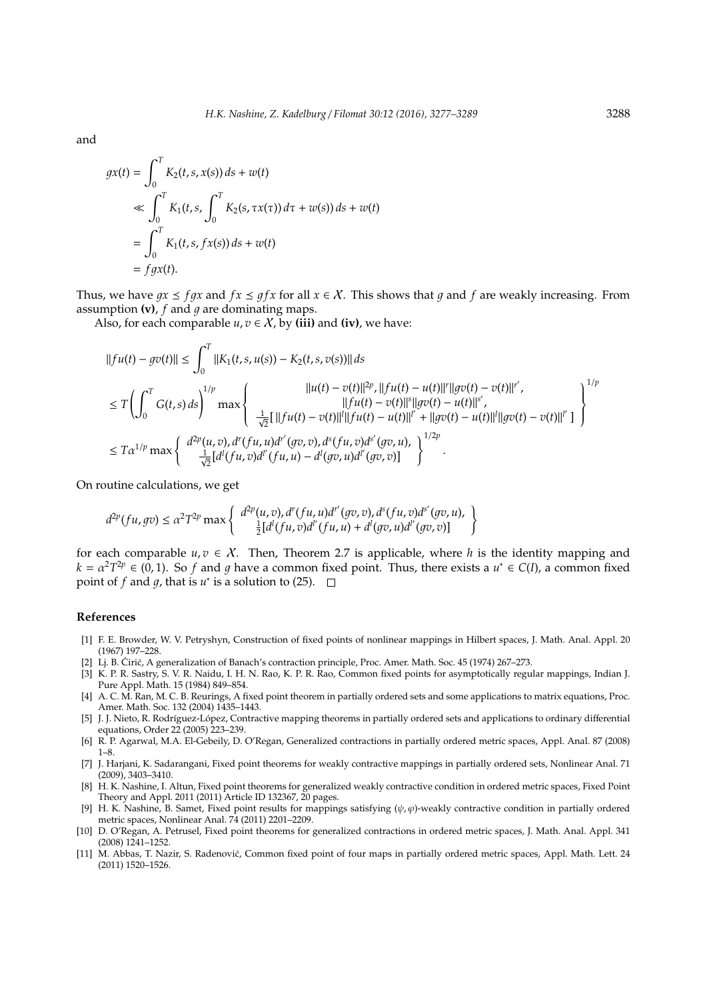and

$$
gx(t) = \int_0^T K_2(t, s, x(s)) ds + w(t)
$$
  
\n
$$
\ll \int_0^T K_1(t, s, \int_0^T K_2(s, \tau x(\tau)) d\tau + w(s)) ds + w(t)
$$
  
\n
$$
= \int_0^T K_1(t, s, f x(s)) ds + w(t)
$$
  
\n
$$
= fgx(t).
$$

Thus, we have  $qx \leq fqx$  and  $fx \leq qfx$  for all  $x \in \mathcal{X}$ . This shows that q and f are weakly increasing. From assumption  $(v)$ ,  $f$  and  $q$  are dominating maps.

Also, for each comparable  $u, v \in X$ , by (iii) and (iv), we have:

$$
||fu(t) - gv(t)|| \le \int_0^T ||K_1(t, s, u(s)) - K_2(t, s, v(s))|| ds
$$
  
\n
$$
\le T \left( \int_0^T G(t, s) ds \right)^{1/p} \max \left\{ \begin{array}{c} ||u(t) - v(t)||^{2p}, ||fu(t) - u(t)||^{r} ||gv(t) - v(t)||^{r'}, \\ ||fu(t) - v(t)||^{s} ||gv(t) - u(t)||^{s'}, \\ \frac{1}{\sqrt{2}} [||fu(t) - v(t)||^{l} ||fu(t) - u(t)||^{l'} + ||gv(t) - u(t)||^{l'} ||gv(t) - v(t)||^{l'} ] \end{array} \right\}^{1/p}
$$
  
\n
$$
\le T \alpha^{1/p} \max \left\{ \begin{array}{c} d^{2p}(u, v), d^{r}(fu, u)d^{r'}(gv, v), d^{s}(fu, v)d^{s'}(gv, u), \\ \frac{1}{\sqrt{2}} [d^{l}(fu, v)d^{l'}(fu, u) - d^{l}(gv, u)d^{l'}(gv, v)] \end{array} \right\}^{1/2p}.
$$

On routine calculations, we get

$$
d^{2p}(fu,gv) \leq \alpha^2 T^{2p} \max \left\{ \begin{array}{c} d^{2p}(u,v), d^r(fu,u)d^{r'}(gv,v), d^s(fu,v)d^{s'}(gv,u), \\ \frac{1}{2}[d^l(fu,v)d^{l'}(fu,u) + d^l(gv,u)d^{l'}(gv,v)] \end{array} \right\}
$$

for each comparable  $u, v \in X$ . Then, Theorem 2.7 is applicable, where *h* is the identity mapping and  $k = \alpha^2 T^{2p} \in (0, 1)$ . So *f* and *g* have a common fixed point. Thus, there exists a  $u^* \in C(I)$ , a common fixed point of  $f$  and  $g$ , that is  $u^*$  is a solution to (25).

#### **References**

- [1] F. E. Browder, W. V. Petryshyn, Construction of fixed points of nonlinear mappings in Hilbert spaces, J. Math. Anal. Appl. 20 (1967) 197–228.
- [2] Lj. B. Ćirić, A generalization of Banach's contraction principle, Proc. Amer. Math. Soc. 45 (1974) 267–273.
- [3] K. P. R. Sastry, S. V. R. Naidu, I. H. N. Rao, K. P. R. Rao, Common fixed points for asymptotically regular mappings, Indian J. Pure Appl. Math. 15 (1984) 849–854.
- [4] A. C. M. Ran, M. C. B. Reurings, A fixed point theorem in partially ordered sets and some applications to matrix equations, Proc. Amer. Math. Soc. 132 (2004) 1435–1443.
- [5] J. J. Nieto, R. Rodríguez-López, Contractive mapping theorems in partially ordered sets and applications to ordinary differential equations, Order 22 (2005) 223–239.
- [6] R. P. Agarwal, M.A. El-Gebeily, D. O'Regan, Generalized contractions in partially ordered metric spaces, Appl. Anal. 87 (2008) 1–8.
- [7] J. Harjani, K. Sadarangani, Fixed point theorems for weakly contractive mappings in partially ordered sets, Nonlinear Anal. 71 (2009), 3403–3410.
- [8] H. K. Nashine, I. Altun, Fixed point theorems for generalized weakly contractive condition in ordered metric spaces, Fixed Point Theory and Appl. 2011 (2011) Article ID 132367, 20 pages.
- [9] H. K. Nashine, B. Samet, Fixed point results for mappings satisfying  $(\psi, \varphi)$ -weakly contractive condition in partially ordered metric spaces, Nonlinear Anal. 74 (2011) 2201–2209.
- [10] D. O'Regan, A. Petrusel, Fixed point theorems for generalized contractions in ordered metric spaces, J. Math. Anal. Appl. 341 (2008) 1241–1252.
- [11] M. Abbas, T. Nazir, S. Radenovic, Common fixed point of four maps in partially ordered metric spaces, Appl. Math. Lett. 24 ´ (2011) 1520–1526.